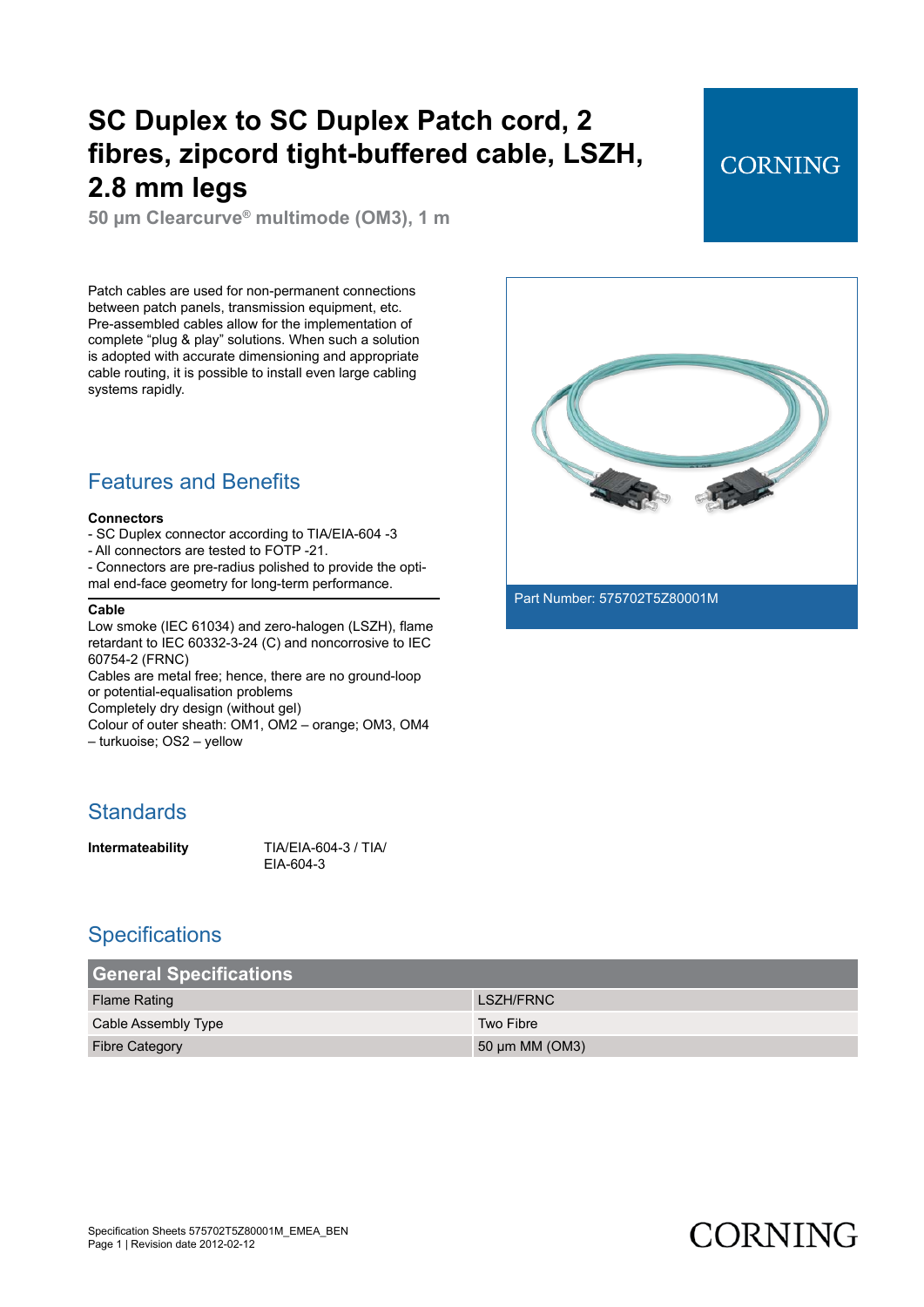**50 µm Clearcurve® multimode (OM3), 1 m**

Patch cables are used for non-permanent connections between patch panels, transmission equipment, etc. Pre-assembled cables allow for the implementation of complete "plug & play" solutions. When such a solution is adopted with accurate dimensioning and appropriate cable routing, it is possible to install even large cabling systems rapidly.

### Features and Benefits

#### **Connectors**

- SC Duplex connector according to TIA/EIA-604 -3
- All connectors are tested to FOTP -21.
- Connectors are pre-radius polished to provide the optimal end-face geometry for long-term performance.

#### **Cable**

Low smoke (IEC 61034) and zero-halogen (LSZH), flame retardant to IEC 60332-3-24 (C) and noncorrosive to IEC 60754-2 (FRNC)

Cables are metal free; hence, there are no ground-loop or potential-equalisation problems

Completely dry design (without gel)

Colour of outer sheath: OM1, OM2 – orange; OM3, OM4 – turkuoise; OS2 – yellow

#### **Standards**

**Intermateability** TIA/EIA-604-3 / TIA/ EIA-604-3

#### **Specifications**

| <b>General Specifications</b> |                     |
|-------------------------------|---------------------|
| <b>Flame Rating</b>           | LSZH/FRNC           |
| Cable Assembly Type           | Two Fibre           |
| <b>Fibre Category</b>         | 50 $\mu$ m MM (OM3) |



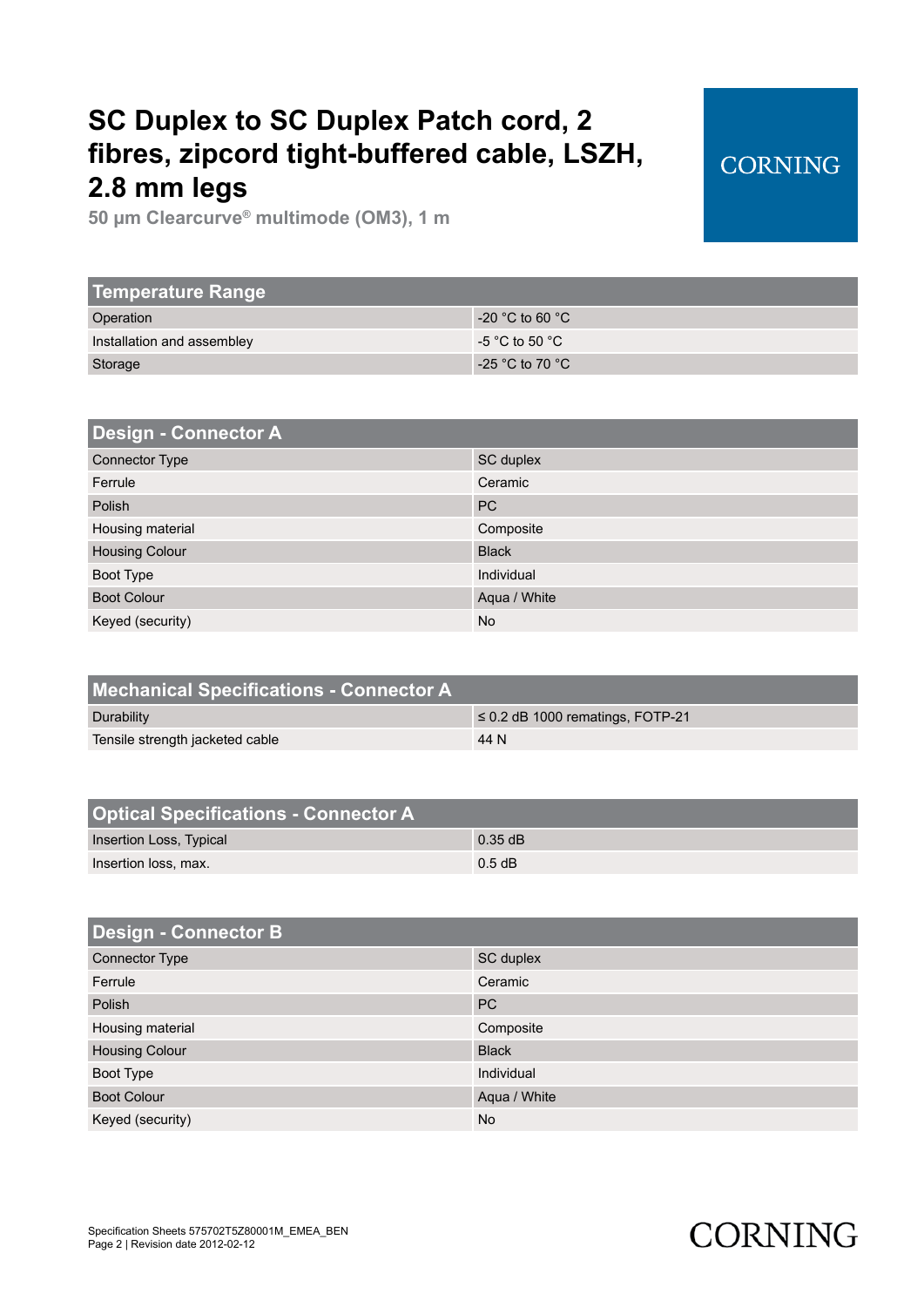**50 µm Clearcurve® multimode (OM3), 1 m**

| <b>Temperature Range</b>   |                   |
|----------------------------|-------------------|
| Operation                  | $-20$ °C to 60 °C |
| Installation and assembley | $-5$ °C to 50 °C  |
| Storage                    | $-25$ °C to 70 °C |
|                            |                   |

| <b>Design - Connector A</b> |              |
|-----------------------------|--------------|
| <b>Connector Type</b>       | SC duplex    |
| Ferrule                     | Ceramic      |
| Polish                      | <b>PC</b>    |
| Housing material            | Composite    |
| <b>Housing Colour</b>       | <b>Black</b> |
| Boot Type                   | Individual   |
| <b>Boot Colour</b>          | Aqua / White |
| Keyed (security)            | <b>No</b>    |

| $\leq$ 0.2 dB 1000 rematings, FOTP-21 |
|---------------------------------------|
|                                       |
|                                       |

| <b>Design - Connector B</b> |              |
|-----------------------------|--------------|
| <b>Connector Type</b>       | SC duplex    |
| Ferrule                     | Ceramic      |
| Polish                      | <b>PC</b>    |
| Housing material            | Composite    |
| <b>Housing Colour</b>       | <b>Black</b> |
| Boot Type                   | Individual   |
| <b>Boot Colour</b>          | Aqua / White |
| Keyed (security)            | <b>No</b>    |

# **CORNING**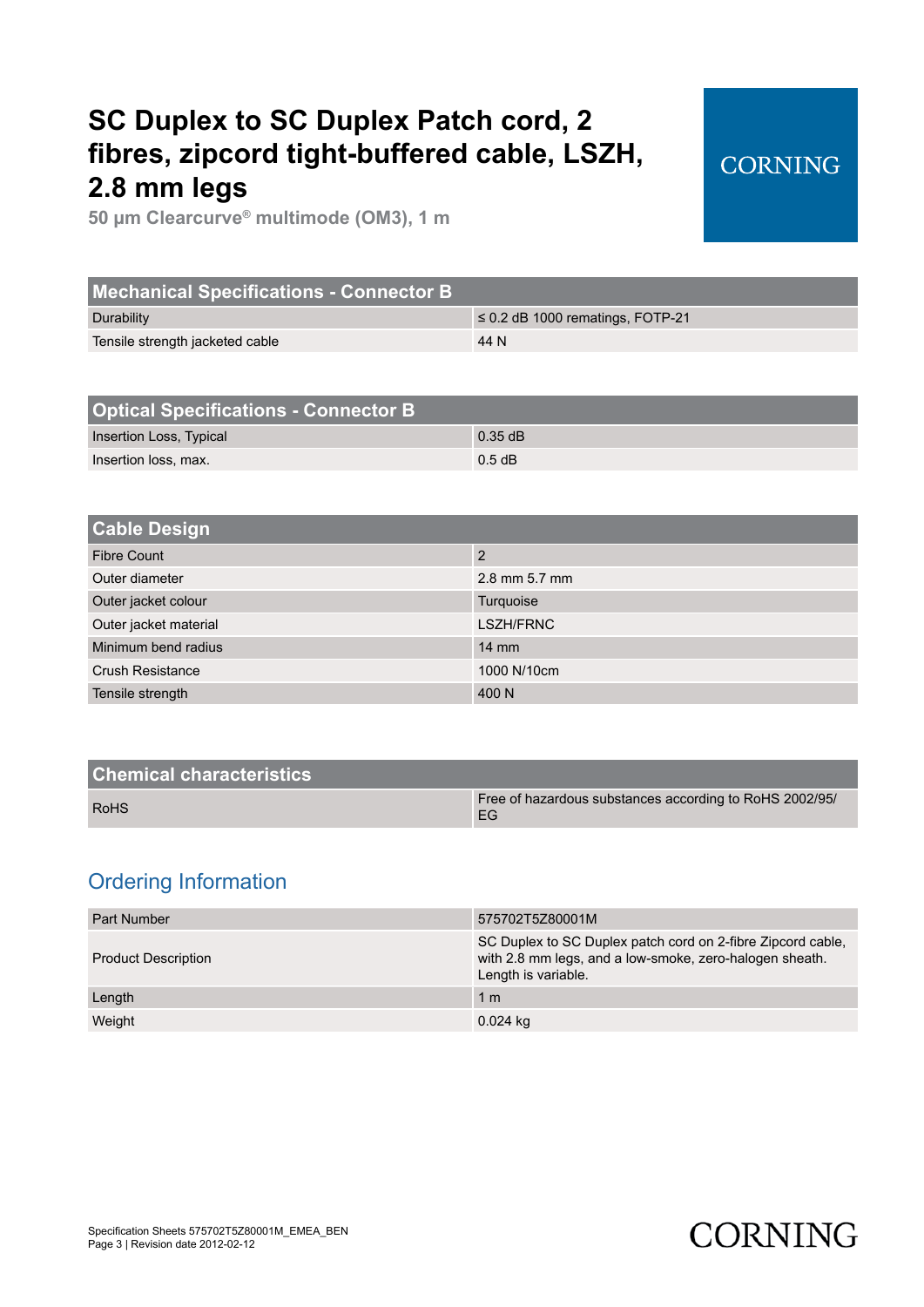**50 µm Clearcurve® multimode (OM3), 1 m**

| <b>Mechanical Specifications - Connector B</b> |                                       |
|------------------------------------------------|---------------------------------------|
| Durability                                     | $\leq$ 0.2 dB 1000 rematings, FOTP-21 |
| Tensile strength jacketed cable                | 44 N                                  |
|                                                |                                       |

| <b>Optical Specifications - Connector B</b> |           |
|---------------------------------------------|-----------|
| Insertion Loss, Typical                     | $0.35$ dB |
| Insertion loss, max.                        | $0.5$ dB  |

| <b>Cable Design</b>     |                  |
|-------------------------|------------------|
| <b>Fibre Count</b>      | 2                |
| Outer diameter          | 2.8 mm 5.7 mm    |
| Outer jacket colour     | Turquoise        |
| Outer jacket material   | <b>LSZH/FRNC</b> |
| Minimum bend radius     | $14 \text{ mm}$  |
| <b>Crush Resistance</b> | 1000 N/10cm      |
| Tensile strength        | 400 N            |
|                         |                  |

| <b>Chemical characteristics</b> |                                                               |
|---------------------------------|---------------------------------------------------------------|
| <b>RoHS</b>                     | Free of hazardous substances according to RoHS 2002/95/<br>EG |
|                                 |                                                               |

### Ordering Information

| Part Number                | 575702T5Z80001M                                                                                                                               |
|----------------------------|-----------------------------------------------------------------------------------------------------------------------------------------------|
| <b>Product Description</b> | SC Duplex to SC Duplex patch cord on 2-fibre Zipcord cable,<br>with 2.8 mm legs, and a low-smoke, zero-halogen sheath.<br>Length is variable. |
| Length                     | 1 <sub>m</sub>                                                                                                                                |
| Weight                     | $0.024$ kg                                                                                                                                    |